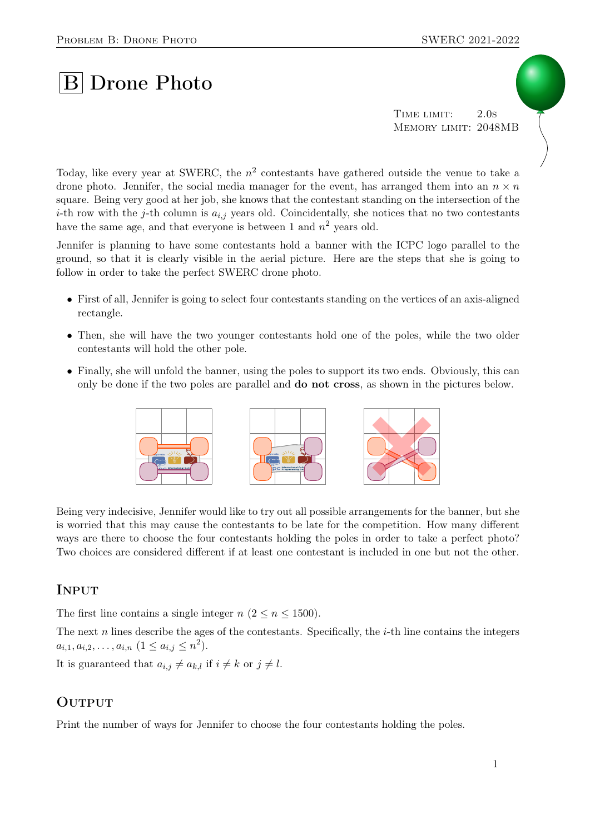# **B** Drone Photo

TIME LIMIT: 2.0s Memory limit: 2048MB

Today, like every year at SWERC, the  $n^2$  contestants have gathered outside the venue to take a drone photo. Jennifer, the social media manager for the event, has arranged them into an  $n \times n$ square. Being very good at her job, she knows that the contestant standing on the intersection of the *i*-th row with the *j*-th column is  $a_{i,j}$  years old. Coincidentally, she notices that no two contestants have the same age, and that everyone is between 1 and  $n^2$  years old.

Jennifer is planning to have some contestants hold a banner with the ICPC logo parallel to the ground, so that it is clearly visible in the aerial picture. Here are the steps that she is going to follow in order to take the perfect SWERC drone photo.

- First of all, Jennifer is going to select four contestants standing on the vertices of an axis-aligned rectangle.
- Then, she will have the two younger contestants hold one of the poles, while the two older contestants will hold the other pole.
- Finally, she will unfold the banner, using the poles to support its two ends. Obviously, this can only be done if the two poles are parallel and do not cross, as shown in the pictures below.



Being very indecisive, Jennifer would like to try out all possible arrangements for the banner, but she is worried that this may cause the contestants to be late for the competition. How many different ways are there to choose the four contestants holding the poles in order to take a perfect photo? Two choices are considered different if at least one contestant is included in one but not the other.

## **INPUT**

The first line contains a single integer  $n (2 \lt n \lt 1500)$ .

The next  $n$  lines describe the ages of the contestants. Specifically, the  $i$ -th line contains the integers  $a_{i,1}, a_{i,2}, \ldots, a_{i,n}$   $(1 \le a_{i,j} \le n^2)$ .

It is guaranteed that  $a_{i,j} \neq a_{k,l}$  if  $i \neq k$  or  $j \neq l$ .

## **OUTPUT**

Print the number of ways for Jennifer to choose the four contestants holding the poles.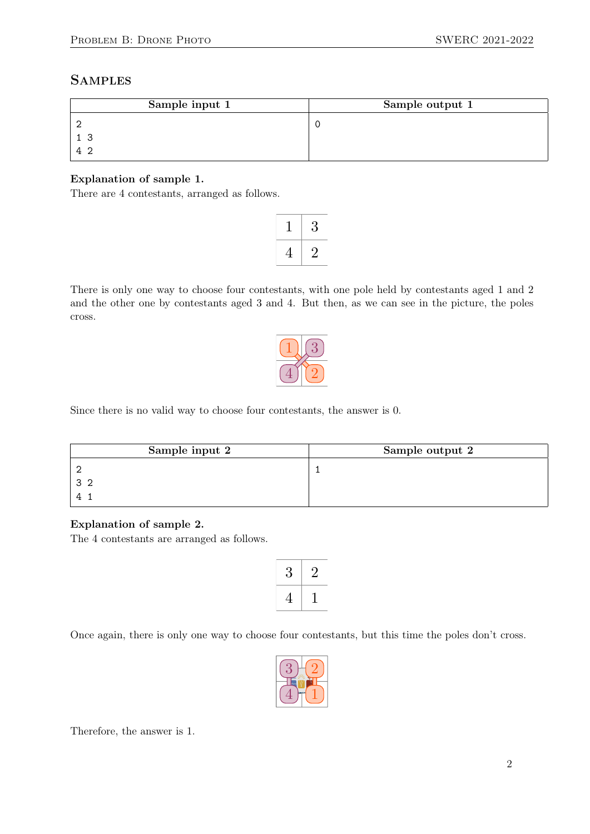# **SAMPLES**

| Sample input 1 | Sample output 1 |
|----------------|-----------------|
|                |                 |
|                |                 |
|                |                 |

#### Explanation of sample 1.

There are 4 contestants, arranged as follows.

|   | 3 |
|---|---|
| 4 |   |

There is only one way to choose four contestants, with one pole held by contestants aged 1 and 2 and the other one by contestants aged 3 and 4. But then, as we can see in the picture, the poles cross.



Since there is no valid way to choose four contestants, the answer is 0.

| Sample input 2 | Sample output 2 |
|----------------|-----------------|
|                |                 |
|                |                 |
|                |                 |

#### Explanation of sample 2.

The 4 contestants are arranged as follows.

| К |  |
|---|--|
| 4 |  |

Once again, there is only one way to choose four contestants, but this time the poles don't cross.



Therefore, the answer is 1.